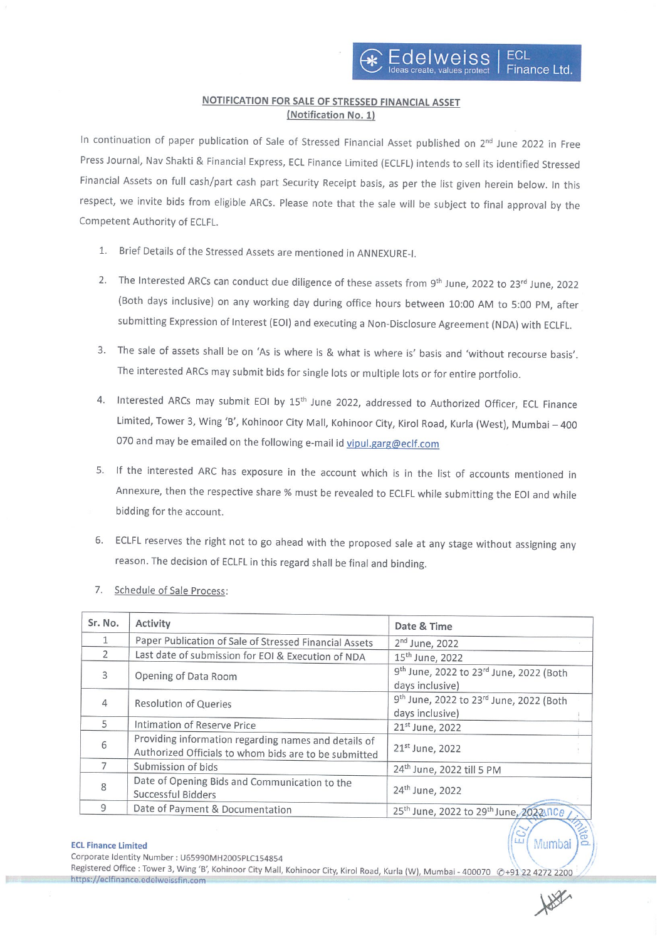## NOTIFICATION FOR SALE OF STRESSED FINANCIAL ASSET (Notification No. 1)

In continuation of paper publication of Sale of Stressed Financial Asset published on 2<sup>nd</sup> June 2022 in Free Press Journal, Nay Shakti & Financial Express, ECL Finance Limited (ECLFL) intends to sell its identified Stressed Financial Assets on full cash/part cash part Security Receipt basis, as per the list given herein below. In this respect, we invite bids from eligible ARCs. Please note that the sale will be subject to final approval by the Competent Authority of ECLFL.

- 1. Brief Details of the Stressed Assets are mentioned in ANNEXURE-I.
- 2. The Interested ARCs can conduct due diligence of these assets from 9<sup>th</sup> June, 2022 to 23<sup>rd</sup> June, 2022 (Both days inclusive) on any working day during office hours between 10:00 AM to 5:00 PM, after submitting Expression of Interest (EOI) and executing a Non-Disclosure Agreement (NDA) with ECLFL.
- 3. The sale of assets shall be on 'As is where is & what is where is' basis and 'without recourse basis'. The interested ARCs may submit bids for single lots or multiple lots or for entire portfolio.
- 4. Interested ARCs may submit EOI by 15<sup>th</sup> June 2022, addressed to Authorized Officer, ECL Finance Limited, Tower 3, Wing 'B', Kohinoor City Mall, Kohinoor City, Kirol Road, Kurla (West), Mumbai —400 070 and may be emailed on the following e-mail id vipul.garg@eclf.com
- 5. If the interested ARC has exposure in the account which is in the list of accounts mentioned in Annexure, then the respective share % must be revealed to ECLFL while submitting the EOl and while bidding for the account.
- 6. ECLFL reserves the right not to go ahead with the proposed sale at any stage without assigning any reason. The decision of ECLFL in this regard shall be final and binding.
- 7. Schedule of Sale Process:

| Sr. No.      | Activity                                                                                                      | Date & Time                                                                        |  |  |
|--------------|---------------------------------------------------------------------------------------------------------------|------------------------------------------------------------------------------------|--|--|
| $\mathbf{1}$ | Paper Publication of Sale of Stressed Financial Assets                                                        | 2 <sup>nd</sup> June, 2022                                                         |  |  |
| 2            | Last date of submission for EOI & Execution of NDA                                                            | 15 <sup>th</sup> June, 2022                                                        |  |  |
| 3            | Opening of Data Room                                                                                          | 9th June, 2022 to 23rd June, 2022 (Both<br>days inclusive)                         |  |  |
| 4            | <b>Resolution of Queries</b>                                                                                  | 9 <sup>th</sup> June, 2022 to 23 <sup>rd</sup> June, 2022 (Both<br>days inclusive) |  |  |
| 5            | Intimation of Reserve Price                                                                                   | 21st June, 2022                                                                    |  |  |
| 6            | Providing information regarding names and details of<br>Authorized Officials to whom bids are to be submitted | 21 <sup>st</sup> June, 2022                                                        |  |  |
|              | Submission of bids                                                                                            | 24 <sup>th</sup> June, 2022 till 5 PM                                              |  |  |
| 8            | Date of Opening Bids and Communication to the<br>Successful Bidders                                           | 24 <sup>th</sup> June, 2022                                                        |  |  |
| 9            | Date of Payment & Documentation                                                                               | 25th June, 2022 to 29th June, 2022/100                                             |  |  |

# ECL Finance Limited  $\sqrt{\omega}$  (Mumbal  $\sqrt{\omega}$

corporate Identity Number: u6599oMH2005p1c154g54

Registered Office : Tower 3, Wing 'B', Kohinoor City Mall, Kohinoor City, Kirol Road, Kurla (W), Mumbai -400070 @+912 2272 2200 https://eclfinance.edelweissfin.com

Rance

 $\overline{\phantom{a}}$ **CC**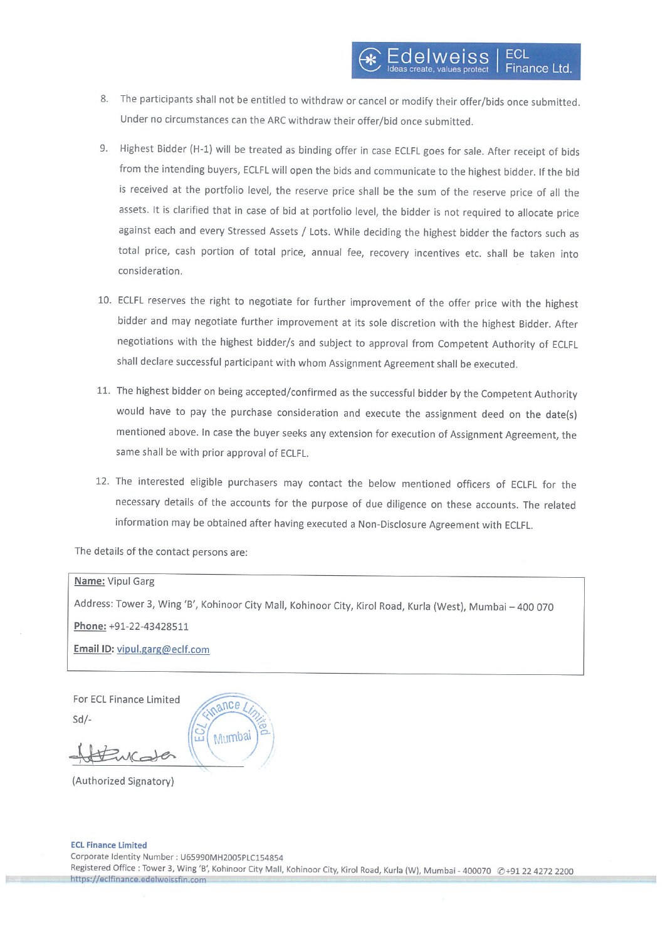- 8. The participants shall not be entitled to withdraw or cancel or modify their offer/bids once submitted. Under no circumstances can the ARC withdraw their offer/bid once submitted.
- 9. Highest Bidder (H-1) will be treated as binding offer in case ECLFL goes for sale. After receipt of bids from the intending buyers, ECLFL will open the bids and communicate to the highest bidder. If the bid is received at the portfolio level, the reserve price shall be the sum of the reserve price of all the assets. It is clarified that in case of bid at portfolio level, the bidder is not required to allocate price against each and every Stressed Assets / Lots. While deciding the highest bidder the factors such as total price, cash portion of total price, annual fee, recovery incentives etc. shall be taken into consideration.
- 10. ECLFL reserves the right to negotiate for further improvement of the offer price with the highest bidder and may negotiate further improvement at its sole discretion with the highest Bidder. After negotiations with the highest bidder/s and subject to approval from Competent Authority of ECLR shall declare successful participant with whom Assignment Agreement shall be executed.
- 11. The highest bidder on being accepted/confirmed as the successful bidder by the Competent Authority would have to pay the purchase consideration and execute the assignment deed on the date(s) mentioned above. In case the buyer seeks any extension for execution of Assignment Agreement, the same shall be with prior approval of ECLFL.
- 12. The interested eligible purchasers may contact the below mentioned officers of ECLFL for the necessary details of the accounts for the purpose of due diligence on these accounts. The related information may be obtained after having executed <sup>a</sup> Non-Disclosure Agreement with ECLFL.

The details of the contact persons are:

#### Name: Vipul Garg

Address: Tower 3, Wing 'B', kohinoor City Mall, Kohinoor City, Kirol Road, Kurla (West), Mumbai — 400 070 Phone: +91-22-43428511

Email ID: vipul.garg@eclf.com

For ECL Finance Limited Sd/

 $\alpha \text{nc} e$ Mumbai

(Authorized Signatory)

#### ECL Finance Limited

Corporate Identity Number : U65990MH2005PLC154854 Registered Office : Tower 3, Wing 'B', Kohinoor City Mall, Kohinoor City, Kirol Road, Kurla (W), Mumbai - 400070 @+91 22 4272 2200 https://eclfinance.edelweissfin.com